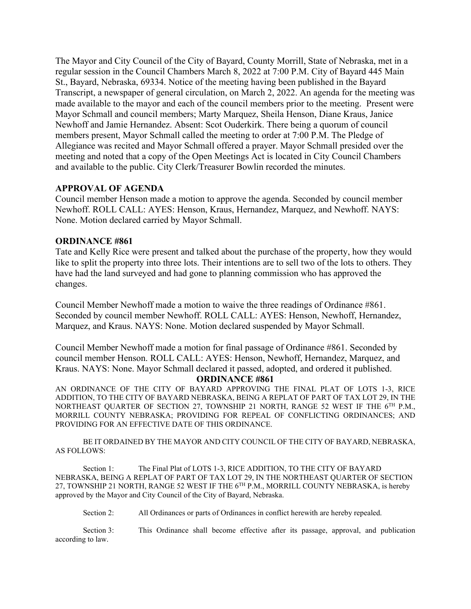The Mayor and City Council of the City of Bayard, County Morrill, State of Nebraska, met in a regular session in the Council Chambers March 8, 2022 at 7:00 P.M. City of Bayard 445 Main St., Bayard, Nebraska, 69334. Notice of the meeting having been published in the Bayard Transcript, a newspaper of general circulation, on March 2, 2022. An agenda for the meeting was made available to the mayor and each of the council members prior to the meeting. Present were Mayor Schmall and council members; Marty Marquez, Sheila Henson, Diane Kraus, Janice Newhoff and Jamie Hernandez. Absent: Scot Ouderkirk. There being a quorum of council members present, Mayor Schmall called the meeting to order at 7:00 P.M. The Pledge of Allegiance was recited and Mayor Schmall offered a prayer. Mayor Schmall presided over the meeting and noted that a copy of the Open Meetings Act is located in City Council Chambers and available to the public. City Clerk/Treasurer Bowlin recorded the minutes.

### **APPROVAL OF AGENDA**

Council member Henson made a motion to approve the agenda. Seconded by council member Newhoff. ROLL CALL: AYES: Henson, Kraus, Hernandez, Marquez, and Newhoff. NAYS: None. Motion declared carried by Mayor Schmall.

### **ORDINANCE #861**

Tate and Kelly Rice were present and talked about the purchase of the property, how they would like to split the property into three lots. Their intentions are to sell two of the lots to others. They have had the land surveyed and had gone to planning commission who has approved the changes.

Council Member Newhoff made a motion to waive the three readings of Ordinance #861. Seconded by council member Newhoff. ROLL CALL: AYES: Henson, Newhoff, Hernandez, Marquez, and Kraus. NAYS: None. Motion declared suspended by Mayor Schmall.

Council Member Newhoff made a motion for final passage of Ordinance #861. Seconded by council member Henson. ROLL CALL: AYES: Henson, Newhoff, Hernandez, Marquez, and Kraus. NAYS: None. Mayor Schmall declared it passed, adopted, and ordered it published.

#### **ORDINANCE #861**

AN ORDINANCE OF THE CITY OF BAYARD APPROVING THE FINAL PLAT OF LOTS 1-3, RICE ADDITION, TO THE CITY OF BAYARD NEBRASKA, BEING A REPLAT OF PART OF TAX LOT 29, IN THE NORTHEAST QUARTER OF SECTION 27, TOWNSHIP 21 NORTH, RANGE 52 WEST IF THE 6<sup>TH</sup> P.M., MORRILL COUNTY NEBRASKA; PROVIDING FOR REPEAL OF CONFLICTING ORDINANCES; AND PROVIDING FOR AN EFFECTIVE DATE OF THIS ORDINANCE.

BE IT ORDAINED BY THE MAYOR AND CITY COUNCIL OF THE CITY OF BAYARD, NEBRASKA, AS FOLLOWS:

Section 1: The Final Plat of LOTS 1-3, RICE ADDITION, TO THE CITY OF BAYARD NEBRASKA, BEING A REPLAT OF PART OF TAX LOT 29, IN THE NORTHEAST QUARTER OF SECTION 27, TOWNSHIP 21 NORTH, RANGE 52 WEST IF THE 6<sup>TH</sup> P.M., MORRILL COUNTY NEBRASKA, is hereby approved by the Mayor and City Council of the City of Bayard, Nebraska.

Section 2: All Ordinances or parts of Ordinances in conflict herewith are hereby repealed.

Section 3: This Ordinance shall become effective after its passage, approval, and publication according to law.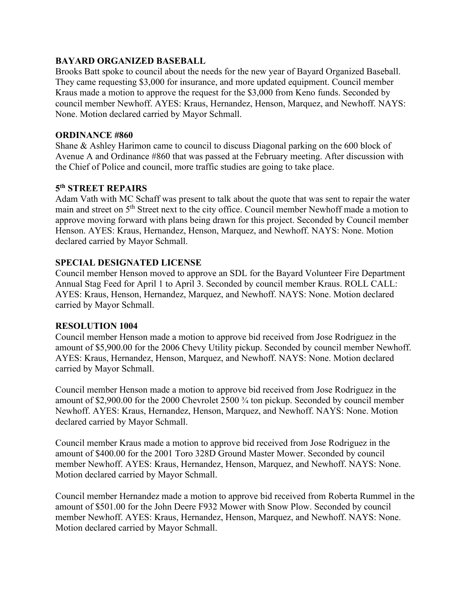### **BAYARD ORGANIZED BASEBALL**

Brooks Batt spoke to council about the needs for the new year of Bayard Organized Baseball. They came requesting \$3,000 for insurance, and more updated equipment. Council member Kraus made a motion to approve the request for the \$3,000 from Keno funds. Seconded by council member Newhoff. AYES: Kraus, Hernandez, Henson, Marquez, and Newhoff. NAYS: None. Motion declared carried by Mayor Schmall.

### **ORDINANCE #860**

Shane & Ashley Harimon came to council to discuss Diagonal parking on the 600 block of Avenue A and Ordinance #860 that was passed at the February meeting. After discussion with the Chief of Police and council, more traffic studies are going to take place.

### **5th STREET REPAIRS**

Adam Vath with MC Schaff was present to talk about the quote that was sent to repair the water main and street on 5<sup>th</sup> Street next to the city office. Council member Newhoff made a motion to approve moving forward with plans being drawn for this project. Seconded by Council member Henson. AYES: Kraus, Hernandez, Henson, Marquez, and Newhoff. NAYS: None. Motion declared carried by Mayor Schmall.

# **SPECIAL DESIGNATED LICENSE**

Council member Henson moved to approve an SDL for the Bayard Volunteer Fire Department Annual Stag Feed for April 1 to April 3. Seconded by council member Kraus. ROLL CALL: AYES: Kraus, Henson, Hernandez, Marquez, and Newhoff. NAYS: None. Motion declared carried by Mayor Schmall.

# **RESOLUTION 1004**

Council member Henson made a motion to approve bid received from Jose Rodriguez in the amount of \$5,900.00 for the 2006 Chevy Utility pickup. Seconded by council member Newhoff. AYES: Kraus, Hernandez, Henson, Marquez, and Newhoff. NAYS: None. Motion declared carried by Mayor Schmall.

Council member Henson made a motion to approve bid received from Jose Rodriguez in the amount of \$2,900.00 for the 2000 Chevrolet 2500 ¾ ton pickup. Seconded by council member Newhoff. AYES: Kraus, Hernandez, Henson, Marquez, and Newhoff. NAYS: None. Motion declared carried by Mayor Schmall.

Council member Kraus made a motion to approve bid received from Jose Rodriguez in the amount of \$400.00 for the 2001 Toro 328D Ground Master Mower. Seconded by council member Newhoff. AYES: Kraus, Hernandez, Henson, Marquez, and Newhoff. NAYS: None. Motion declared carried by Mayor Schmall.

Council member Hernandez made a motion to approve bid received from Roberta Rummel in the amount of \$501.00 for the John Deere F932 Mower with Snow Plow. Seconded by council member Newhoff. AYES: Kraus, Hernandez, Henson, Marquez, and Newhoff. NAYS: None. Motion declared carried by Mayor Schmall.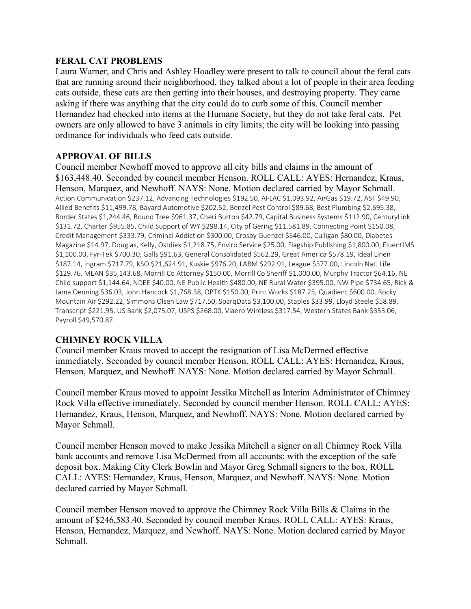### **FERAL CAT PROBLEMS**

Laura Warner, and Chris and Ashley Hoadley were present to talk to council about the feral cats that are running around their neighborhood, they talked about a lot of people in their area feeding cats outside, these cats are then getting into their houses, and destroying property. They came asking if there was anything that the city could do to curb some of this. Council member Hernandez had checked into items at the Humane Society, but they do not take feral cats. Pet owners are only allowed to have 3 animals in city limits; the city will be looking into passing ordinance for individuals who feed cats outside.

# **APPROVAL OF BILLS**

Council member Newhoff moved to approve all city bills and claims in the amount of \$163,448.40. Seconded by council member Henson. ROLL CALL: AYES: Hernandez, Kraus, Henson, Marquez, and Newhoff. NAYS: None. Motion declared carried by Mayor Schmall. Action Communication \$237.12, Advancing Technologies \$192.50, AFLAC \$1,093.92, AirGas \$19.72, AST \$49.90, Allied Benefits \$11,499.78, Bayard Automotive \$202.52, Benzel Pest Control \$89.68, Best Plumbing \$2,695.38, Border States \$1,244.46, Bound Tree \$961.37, Cheri Burton \$42.79, Capital Business Systems \$112.90, CenturyLink \$131.72, Charter \$955.85, Child Support of WY \$298.14, City of Gering \$11,581.89, Connecting Point \$150.08, Credit Management \$333.79, Criminal Addiction \$300.00, Crosby Guenzel \$546.00, Culligan \$80.00, Diabetes Magazine \$14.97, Douglas, Kelly, Ostdiek \$1,218.75, Enviro Service \$25.00, Flagship Publishing \$1,800.00, FluentIMS \$1,100.00, Fyr-Tek \$700.30, Galls \$91.63, General Consolidated \$562.29, Great America \$578.19, Ideal Linen \$187.14, Ingram \$717.79, KSO \$21,624.91, Kuskie \$976.20, LARM \$292.91, League \$377.00, Lincoln Nat. Life \$129.76, MEAN \$35,143.68, Morrill Co Attorney \$150.00, Morrill Co Sheriff \$1,000.00, Murphy Tractor \$64.16, NE Child support \$1,144.64, NDEE \$40.00, NE Public Health \$480.00, NE Rural Water \$395.00, NW Pipe \$734.65, Rick & Jama Oenning \$36.03, John Hancock \$1,768.38, OPTK \$150.00, Print Works \$187.25, Quadient \$600.00. Rocky Mountain Air \$292.22, Simmons Olsen Law \$717.50, SparqData \$3,100.00, Staples \$33.99, Lloyd Steele \$58.89, Transcript \$221.95, US Bank \$2,075.07, USPS \$268.00, Viaero Wireless \$317.54, Western States Bank \$353.06, Payroll \$49,570.87.

# **CHIMNEY ROCK VILLA**

Council member Kraus moved to accept the resignation of Lisa McDermed effective immediately. Seconded by council member Henson. ROLL CALL: AYES: Hernandez, Kraus, Henson, Marquez, and Newhoff. NAYS: None. Motion declared carried by Mayor Schmall.

Council member Kraus moved to appoint Jessika Mitchell as Interim Administrator of Chimney Rock Villa effective immediately. Seconded by council member Henson. ROLL CALL: AYES: Hernandez, Kraus, Henson, Marquez, and Newhoff. NAYS: None. Motion declared carried by Mayor Schmall.

Council member Henson moved to make Jessika Mitchell a signer on all Chimney Rock Villa bank accounts and remove Lisa McDermed from all accounts; with the exception of the safe deposit box. Making City Clerk Bowlin and Mayor Greg Schmall signers to the box. ROLL CALL: AYES: Hernandez, Kraus, Henson, Marquez, and Newhoff. NAYS: None. Motion declared carried by Mayor Schmall.

Council member Henson moved to approve the Chimney Rock Villa Bills & Claims in the amount of \$246,583.40. Seconded by council member Kraus. ROLL CALL: AYES: Kraus, Henson, Hernandez, Marquez, and Newhoff. NAYS: None. Motion declared carried by Mayor Schmall.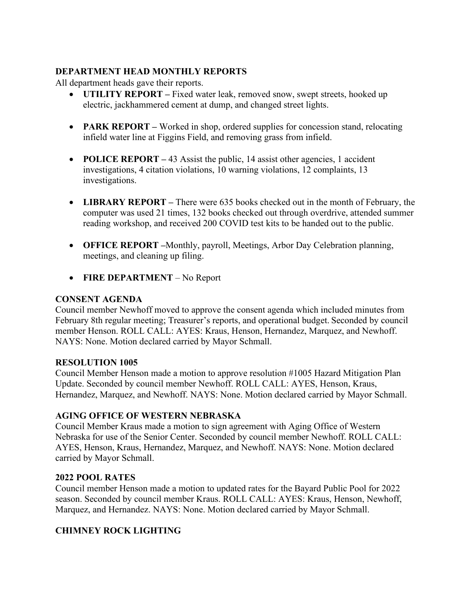# **DEPARTMENT HEAD MONTHLY REPORTS**

All department heads gave their reports.

- **UTILITY REPORT** Fixed water leak, removed snow, swept streets, hooked up electric, jackhammered cement at dump, and changed street lights.
- **PARK REPORT** Worked in shop, ordered supplies for concession stand, relocating infield water line at Figgins Field, and removing grass from infield.
- **POLICE REPORT** 43 Assist the public, 14 assist other agencies, 1 accident investigations, 4 citation violations, 10 warning violations, 12 complaints, 13 investigations.
- **LIBRARY REPORT –** There were 635 books checked out in the month of February, the computer was used 21 times, 132 books checked out through overdrive, attended summer reading workshop, and received 200 COVID test kits to be handed out to the public.
- **OFFICE REPORT –**Monthly, payroll, Meetings, Arbor Day Celebration planning, meetings, and cleaning up filing.
- **FIRE DEPARTMENT** No Report

# **CONSENT AGENDA**

Council member Newhoff moved to approve the consent agenda which included minutes from February 8th regular meeting; Treasurer's reports, and operational budget. Seconded by council member Henson. ROLL CALL: AYES: Kraus, Henson, Hernandez, Marquez, and Newhoff. NAYS: None. Motion declared carried by Mayor Schmall.

### **RESOLUTION 1005**

Council Member Henson made a motion to approve resolution #1005 Hazard Mitigation Plan Update. Seconded by council member Newhoff. ROLL CALL: AYES, Henson, Kraus, Hernandez, Marquez, and Newhoff. NAYS: None. Motion declared carried by Mayor Schmall.

# **AGING OFFICE OF WESTERN NEBRASKA**

Council Member Kraus made a motion to sign agreement with Aging Office of Western Nebraska for use of the Senior Center. Seconded by council member Newhoff. ROLL CALL: AYES, Henson, Kraus, Hernandez, Marquez, and Newhoff. NAYS: None. Motion declared carried by Mayor Schmall.

# **2022 POOL RATES**

Council member Henson made a motion to updated rates for the Bayard Public Pool for 2022 season. Seconded by council member Kraus. ROLL CALL: AYES: Kraus, Henson, Newhoff, Marquez, and Hernandez. NAYS: None. Motion declared carried by Mayor Schmall.

# **CHIMNEY ROCK LIGHTING**